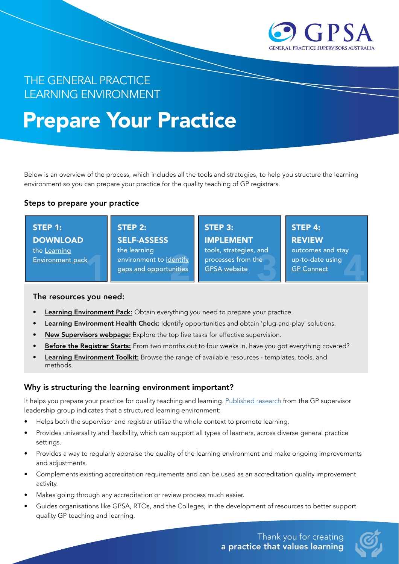

# THE GENERAL PRACTICE LEARNING ENVIRONMENT

# Prepare Your Practice

Below is an overview of the process, which includes all the tools and strategies, to help you structure the learning environment so you can prepare your practice for the quality teaching of GP registrars.

#### Steps to prepare your practice

 $\frac{k}{\sqrt{2}}$ STEP 1: **DOWNLOAD** the Learning Environment pack

## STEP 2: STEP 3: STEP 4:

SELF-ASSESS the learning environment to identify gaps and opportunities

IMPLEMENT tools, strategies, and

<u>dentify</u><br>
processes from the up-to-date using<br>
<u>GPSA website</u><br>
<u>GPConnect</u> processes from the [GPSA website](https://gpsupervisorsaustralia.org.au/the-learning-environment/)

**REVIEW** 

outcomes and stay up-to-date using [GP Connect](https://www.google.com/url?q=https://www.facebook.com/gpconnectbv/&sa=D&source=editors&ust=1645685642944107&usg=AOvVaw1DuPTlr6gF_knC4mAyCPY3)

#### The resources you need:

- Learning Environment Pack: Obtain everything you need to prepare your practice.
- Learning Environment Health Check: identify opportunities and obtain 'plug-and-play' solutions.
- New Supervisors webpage: Explore the top five tasks for effective supervision.
- Before the Registrar Starts: From two months out to four weeks in, have you got everything covered?
- Learning Environment Toolkit: Browse the range of available resources templates, tools, and methods.

#### Why is structuring the learning environment important?

It helps you prepare your practice for quality teaching and learning. [Published research](https://www.mdpi.com/1660-4601/18/4/1482/htm) from the GP supervisor leadership group indicates that a structured learning environment:

- Helps both the supervisor and registrar utilise the whole context to promote learning.
- Provides universality and flexibility, which can support all types of learners, across diverse general practice settings.
- Provides a way to regularly appraise the quality of the learning environment and make ongoing improvements and adjustments.
- Complements existing accreditation requirements and can be used as an accreditation quality improvement activity.
- Makes going through any accreditation or review process much easier.
- Guides organisations like GPSA, RTOs, and the Colleges, in the development of resources to better support quality GP teaching and learning.